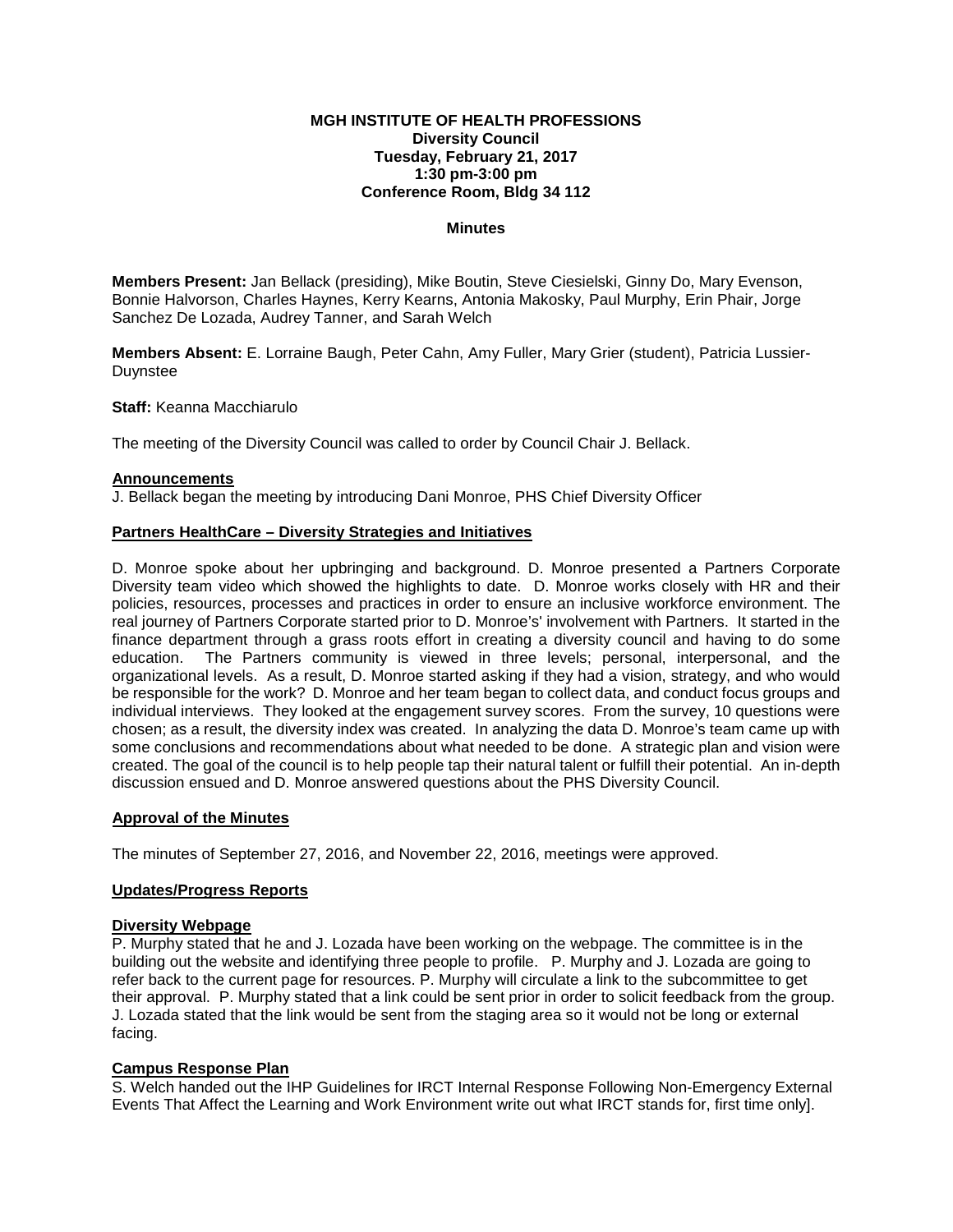## **MGH INSTITUTE OF HEALTH PROFESSIONS Diversity Council Tuesday, February 21, 2017 1:30 pm-3:00 pm Conference Room, Bldg 34 112**

### **Minutes**

**Members Present:** Jan Bellack (presiding), Mike Boutin, Steve Ciesielski, Ginny Do, Mary Evenson, Bonnie Halvorson, Charles Haynes, Kerry Kearns, Antonia Makosky, Paul Murphy, Erin Phair, Jorge Sanchez De Lozada, Audrey Tanner, and Sarah Welch

**Members Absent:** E. Lorraine Baugh, Peter Cahn, Amy Fuller, Mary Grier (student), Patricia Lussier-Duynstee

**Staff:** Keanna Macchiarulo

The meeting of the Diversity Council was called to order by Council Chair J. Bellack.

#### **Announcements**

J. Bellack began the meeting by introducing Dani Monroe, PHS Chief Diversity Officer

#### **Partners HealthCare – Diversity Strategies and Initiatives**

D. Monroe spoke about her upbringing and background. D. Monroe presented a Partners Corporate Diversity team video which showed the highlights to date. D. Monroe works closely with HR and their policies, resources, processes and practices in order to ensure an inclusive workforce environment. The real journey of Partners Corporate started prior to D. Monroe's' involvement with Partners. It started in the finance department through a grass roots effort in creating a diversity council and having to do some education. The Partners community is viewed in three levels; personal, interpersonal, and the organizational levels. As a result, D. Monroe started asking if they had a vision, strategy, and who would be responsible for the work? D. Monroe and her team began to collect data, and conduct focus groups and individual interviews. They looked at the engagement survey scores. From the survey, 10 questions were chosen; as a result, the diversity index was created. In analyzing the data D. Monroe's team came up with some conclusions and recommendations about what needed to be done. A strategic plan and vision were created. The goal of the council is to help people tap their natural talent or fulfill their potential. An in-depth discussion ensued and D. Monroe answered questions about the PHS Diversity Council.

## **Approval of the Minutes**

The minutes of September 27, 2016, and November 22, 2016, meetings were approved.

## **Updates/Progress Reports**

#### **Diversity Webpage**

P. Murphy stated that he and J. Lozada have been working on the webpage. The committee is in the building out the website and identifying three people to profile. P. Murphy and J. Lozada are going to refer back to the current page for resources. P. Murphy will circulate a link to the subcommittee to get their approval. P. Murphy stated that a link could be sent prior in order to solicit feedback from the group. J. Lozada stated that the link would be sent from the staging area so it would not be long or external facing.

# **Campus Response Plan**

S. Welch handed out the IHP Guidelines for IRCT Internal Response Following Non-Emergency External Events That Affect the Learning and Work Environment write out what IRCT stands for, first time only].